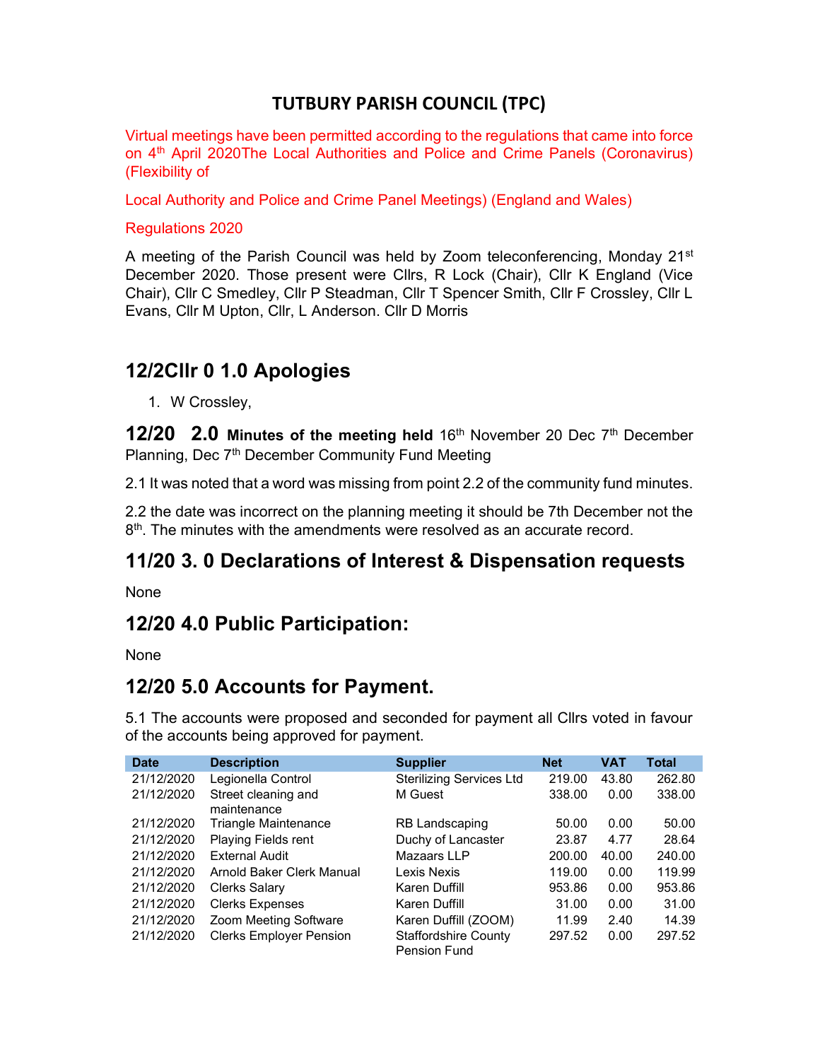### TUTBURY PARISH COUNCIL (TPC)

Virtual meetings have been permitted according to the regulations that came into force on 4<sup>th</sup> April 2020The Local Authorities and Police and Crime Panels (Coronavirus) (Flexibility of

Local Authority and Police and Crime Panel Meetings) (England and Wales)

Regulations 2020

A meeting of the Parish Council was held by Zoom teleconferencing, Monday 21<sup>st</sup> December 2020. Those present were Cllrs, R Lock (Chair), Cllr K England (Vice Chair), Cllr C Smedley, Cllr P Steadman, Cllr T Spencer Smith, Cllr F Crossley, Cllr L Evans, Cllr M Upton, Cllr, L Anderson. Cllr D Morris

### 12/2Cllr 0 1.0 Apologies

1. W Crossley,

**12/20 2.0 Minutes of the meeting held**  $16<sup>th</sup>$  November 20 Dec  $7<sup>th</sup>$  December Planning, Dec 7<sup>th</sup> December Community Fund Meeting

2.1 It was noted that a word was missing from point 2.2 of the community fund minutes.

2.2 the date was incorrect on the planning meeting it should be 7th December not the 8<sup>th</sup>. The minutes with the amendments were resolved as an accurate record.

# 11/20 3. 0 Declarations of Interest & Dispensation requests

None

# 12/20 4.0 Public Participation:

None

### 12/20 5.0 Accounts for Payment.

5.1 The accounts were proposed and seconded for payment all Cllrs voted in favour of the accounts being approved for payment.

| <b>Date</b> | <b>Description</b>                 | <b>Supplier</b>                                    | <b>Net</b> | VAT   | Total  |
|-------------|------------------------------------|----------------------------------------------------|------------|-------|--------|
| 21/12/2020  | Legionella Control                 | <b>Sterilizing Services Ltd</b>                    | 219.00     | 43.80 | 262.80 |
| 21/12/2020  | Street cleaning and<br>maintenance | M Guest                                            | 338.00     | 0.00  | 338.00 |
| 21/12/2020  | Triangle Maintenance               | <b>RB Landscaping</b>                              | 50.00      | 0.00  | 50.00  |
| 21/12/2020  | <b>Playing Fields rent</b>         | Duchy of Lancaster                                 | 23.87      | 4.77  | 28.64  |
| 21/12/2020  | External Audit                     | Mazaars LLP                                        | 200.00     | 40.00 | 240.00 |
| 21/12/2020  | Arnold Baker Clerk Manual          | Lexis Nexis                                        | 119.00     | 0.00  | 119.99 |
| 21/12/2020  | Clerks Salary                      | Karen Duffill                                      | 953.86     | 0.00  | 953.86 |
| 21/12/2020  | <b>Clerks Expenses</b>             | Karen Duffill                                      | 31.00      | 0.00  | 31.00  |
| 21/12/2020  | Zoom Meeting Software              | Karen Duffill (ZOOM)                               | 11.99      | 2.40  | 14.39  |
| 21/12/2020  | <b>Clerks Employer Pension</b>     | <b>Staffordshire County</b><br><b>Pension Fund</b> | 297.52     | 0.00  | 297.52 |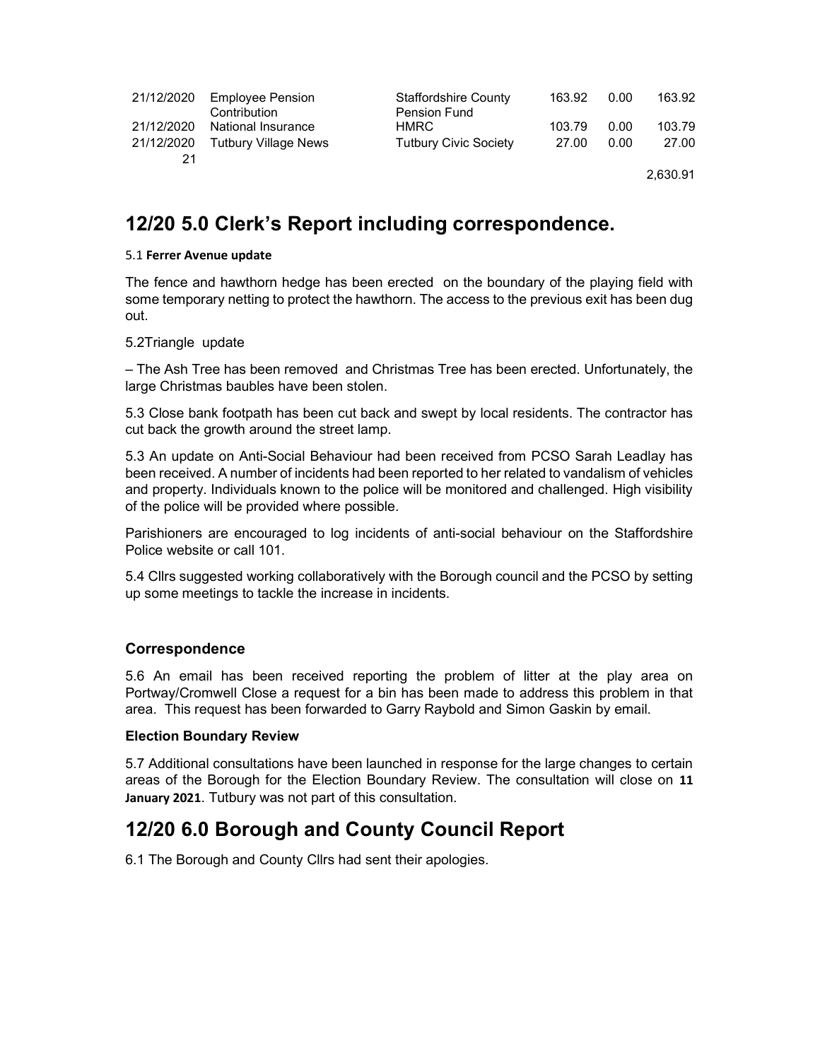| 21/12/2020 | <b>Employee Pension</b><br>Contribution | <b>Staffordshire County</b><br><b>Pension Fund</b> | 163.92 | 0.00 | 163.92   |
|------------|-----------------------------------------|----------------------------------------------------|--------|------|----------|
| 21/12/2020 | National Insurance                      | HMRC.                                              | 103.79 | 0.00 | 103.79   |
| 21/12/2020 | Tutbury Village News                    | <b>Tutbury Civic Society</b>                       | 27.00  | 0.00 | 27.00    |
| 21         |                                         |                                                    |        |      |          |
|            |                                         |                                                    |        |      | 2,630.91 |

### 12/20 5.0 Clerk's Report including correspondence.

#### 5.1 Ferrer Avenue update

The fence and hawthorn hedge has been erected on the boundary of the playing field with some temporary netting to protect the hawthorn. The access to the previous exit has been dug out.

#### 5.2Triangle update

– The Ash Tree has been removed and Christmas Tree has been erected. Unfortunately, the large Christmas baubles have been stolen.

5.3 Close bank footpath has been cut back and swept by local residents. The contractor has cut back the growth around the street lamp.

5.3 An update on Anti-Social Behaviour had been received from PCSO Sarah Leadlay has been received. A number of incidents had been reported to her related to vandalism of vehicles and property. Individuals known to the police will be monitored and challenged. High visibility of the police will be provided where possible.

Parishioners are encouraged to log incidents of anti-social behaviour on the Staffordshire Police website or call 101.

5.4 Cllrs suggested working collaboratively with the Borough council and the PCSO by setting up some meetings to tackle the increase in incidents.

#### Correspondence

5.6 An email has been received reporting the problem of litter at the play area on Portway/Cromwell Close a request for a bin has been made to address this problem in that area. This request has been forwarded to Garry Raybold and Simon Gaskin by email.

#### Election Boundary Review

5.7 Additional consultations have been launched in response for the large changes to certain areas of the Borough for the Election Boundary Review. The consultation will close on 11 January 2021. Tutbury was not part of this consultation.

### 12/20 6.0 Borough and County Council Report

6.1 The Borough and County Cllrs had sent their apologies.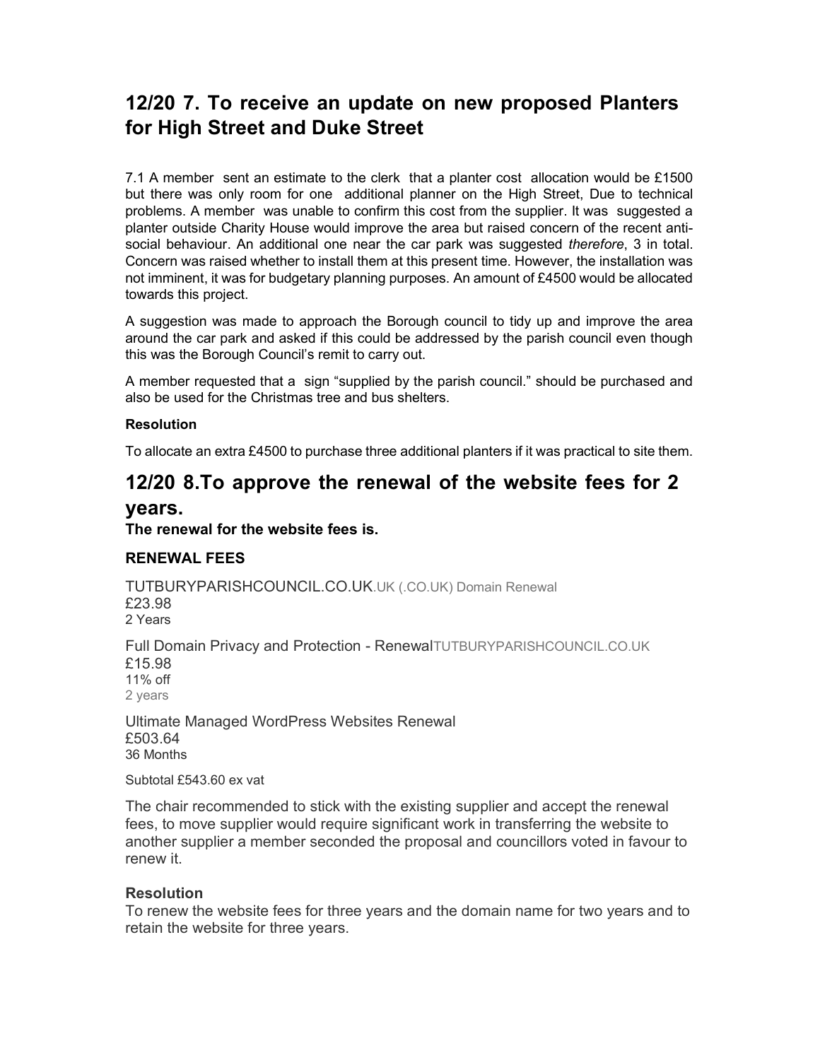# 12/20 7. To receive an update on new proposed Planters for High Street and Duke Street

7.1 A member sent an estimate to the clerk that a planter cost allocation would be £1500 but there was only room for one additional planner on the High Street, Due to technical problems. A member was unable to confirm this cost from the supplier. It was suggested a planter outside Charity House would improve the area but raised concern of the recent antisocial behaviour. An additional one near the car park was suggested *therefore*, 3 in total. Concern was raised whether to install them at this present time. However, the installation was not imminent, it was for budgetary planning purposes. An amount of £4500 would be allocated towards this project.

A suggestion was made to approach the Borough council to tidy up and improve the area around the car park and asked if this could be addressed by the parish council even though this was the Borough Council's remit to carry out.

A member requested that a sign "supplied by the parish council." should be purchased and also be used for the Christmas tree and bus shelters.

#### Resolution

To allocate an extra £4500 to purchase three additional planters if it was practical to site them.

### 12/20 8.To approve the renewal of the website fees for 2

#### years.

#### The renewal for the website fees is.

### RENEWAL FEES

TUTBURYPARISHCOUNCIL.CO.UK.UK (.CO.UK) Domain Renewal £23.98 2 Years

Full Domain Privacy and Protection - RenewalTUTBURYPARISHCOUNCIL.CO.UK £15.98 11% off 2 years

Ultimate Managed WordPress Websites Renewal £503.64 36 Months

Subtotal £543.60 ex vat

The chair recommended to stick with the existing supplier and accept the renewal fees, to move supplier would require significant work in transferring the website to another supplier a member seconded the proposal and councillors voted in favour to renew it.

#### Resolution

To renew the website fees for three years and the domain name for two years and to retain the website for three years.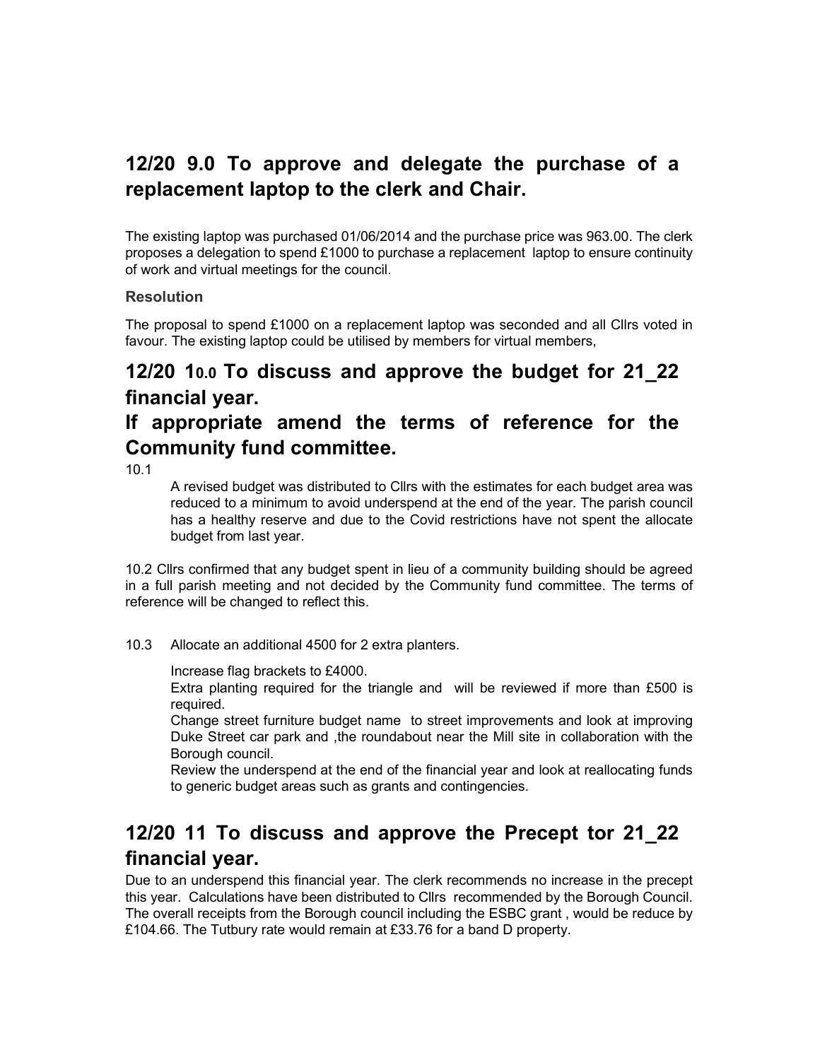# 12/20 9.0 To approve and delegate the purchase of a replacement laptop to the clerk and Chair.

The existing laptop was purchased 01/06/2014 and the purchase price was 963.00. The clerk proposes a delegation to spend £1000 to purchase a replacement laptop to ensure continuity of work and virtual meetings for the council.

### **Resolution**

The proposal to spend £1000 on a replacement laptop was seconded and all Cllrs voted in favour. The existing laptop could be utilised by members for virtual members,

### 12/20 10.0 To discuss and approve the budget for 21\_22 financial year.

# If appropriate amend the terms of reference for the Community fund committee.

10.1

A revised budget was distributed to Cllrs with the estimates for each budget area was reduced to a minimum to avoid underspend at the end of the year. The parish council has a healthy reserve and due to the Covid restrictions have not spent the allocate budget from last year.

10.2 Cllrs confirmed that any budget spent in lieu of a community building should be agreed in a full parish meeting and not decided by the Community fund committee. The terms of reference will be changed to reflect this.

10.3 Allocate an additional 4500 for 2 extra planters.

Increase flag brackets to £4000.

Extra planting required for the triangle and will be reviewed if more than £500 is required.

Change street furniture budget name to street improvements and look at improving Duke Street car park and , the roundabout near the Mill site in collaboration with the Borough council.

Review the underspend at the end of the financial year and look at reallocating funds to generic budget areas such as grants and contingencies.

# 12/20 11 To discuss and approve the Precept tor 21\_22 financial year.

Due to an underspend this financial year. The clerk recommends no increase in the precept this year. Calculations have been distributed to Cllrs recommended by the Borough Council. The overall receipts from the Borough council including the ESBC grant , would be reduce by £104.66. The Tutbury rate would remain at £33.76 for a band D property.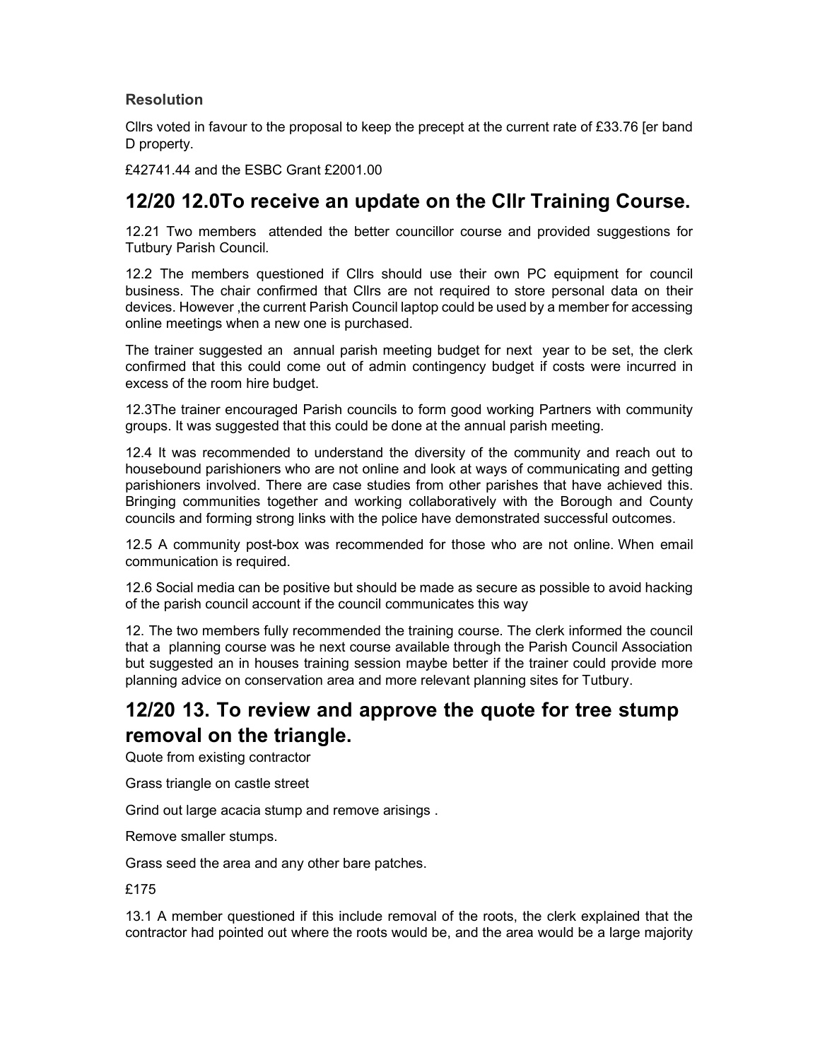### **Resolution**

Cllrs voted in favour to the proposal to keep the precept at the current rate of £33.76 [er band D property.

£42741.44 and the ESBC Grant £2001.00

### 12/20 12.0To receive an update on the Cllr Training Course.

12.21 Two members attended the better councillor course and provided suggestions for Tutbury Parish Council.

12.2 The members questioned if Cllrs should use their own PC equipment for council business. The chair confirmed that Cllrs are not required to store personal data on their devices. However ,the current Parish Council laptop could be used by a member for accessing online meetings when a new one is purchased.

The trainer suggested an annual parish meeting budget for next year to be set, the clerk confirmed that this could come out of admin contingency budget if costs were incurred in excess of the room hire budget.

12.3The trainer encouraged Parish councils to form good working Partners with community groups. It was suggested that this could be done at the annual parish meeting.

12.4 It was recommended to understand the diversity of the community and reach out to housebound parishioners who are not online and look at ways of communicating and getting parishioners involved. There are case studies from other parishes that have achieved this. Bringing communities together and working collaboratively with the Borough and County councils and forming strong links with the police have demonstrated successful outcomes.

12.5 A community post-box was recommended for those who are not online. When email communication is required.

12.6 Social media can be positive but should be made as secure as possible to avoid hacking of the parish council account if the council communicates this way

12. The two members fully recommended the training course. The clerk informed the council that a planning course was he next course available through the Parish Council Association but suggested an in houses training session maybe better if the trainer could provide more planning advice on conservation area and more relevant planning sites for Tutbury.

# 12/20 13. To review and approve the quote for tree stump removal on the triangle.

Quote from existing contractor

Grass triangle on castle street

Grind out large acacia stump and remove arisings .

Remove smaller stumps.

Grass seed the area and any other bare patches.

£175

13.1 A member questioned if this include removal of the roots, the clerk explained that the contractor had pointed out where the roots would be, and the area would be a large majority